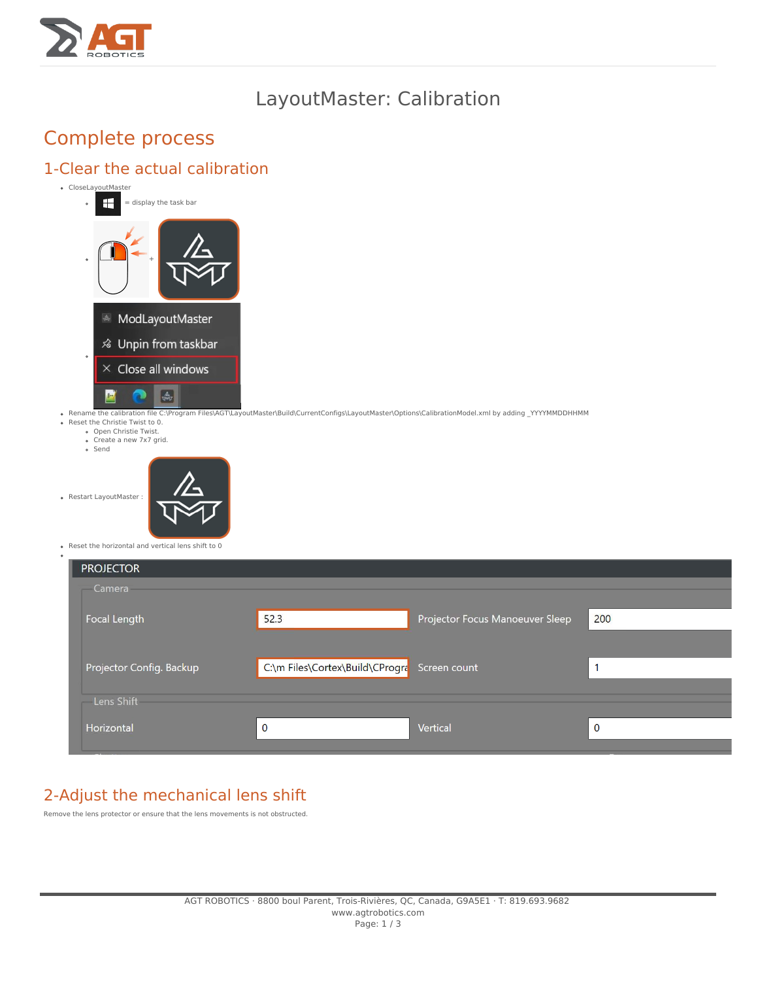

# LayoutMaster: Calibration

# Complete process

## 1-Clear the actual calibration

|                                                                                              | • CloseLayoutMaster<br>= display the task bar<br>$\circ$<br>$\circ$                                                                                                                                                                                                                                                                                                   |                                 |                                 |             |  |  |
|----------------------------------------------------------------------------------------------|-----------------------------------------------------------------------------------------------------------------------------------------------------------------------------------------------------------------------------------------------------------------------------------------------------------------------------------------------------------------------|---------------------------------|---------------------------------|-------------|--|--|
|                                                                                              | ModLayoutMaster<br>☆ Unpin from taskbar<br>$\circ$<br>$\times$ Close all windows<br>$\frac{A}{\sqrt{2}}$<br>. Rename the calibration file C:\Program Files\AGT\LayoutMaster\Build\CurrentConfigs\LayoutMaster\Options\CalibrationModel.xml by adding_YYYYMMDDHHMM<br>• Reset the Christie Twist to 0.<br>· Open Christie Twist.<br>· Create a new 7x7 grid.<br>· Send |                                 |                                 |             |  |  |
| • Restart LayoutMaster :<br>. Reset the horizontal and vertical lens shift to 0<br>$\bullet$ |                                                                                                                                                                                                                                                                                                                                                                       |                                 |                                 |             |  |  |
|                                                                                              | <b>PROJECTOR</b>                                                                                                                                                                                                                                                                                                                                                      |                                 |                                 |             |  |  |
|                                                                                              | Camera                                                                                                                                                                                                                                                                                                                                                                |                                 |                                 |             |  |  |
|                                                                                              | Focal Length                                                                                                                                                                                                                                                                                                                                                          | 52.3                            | Projector Focus Manoeuver Sleep | 200         |  |  |
|                                                                                              |                                                                                                                                                                                                                                                                                                                                                                       |                                 |                                 |             |  |  |
|                                                                                              | Projector Config. Backup                                                                                                                                                                                                                                                                                                                                              | C:\m Files\Cortex\Build\CProgra | Screen count                    | 1           |  |  |
|                                                                                              | Lens Shift                                                                                                                                                                                                                                                                                                                                                            |                                 |                                 |             |  |  |
|                                                                                              | Horizontal                                                                                                                                                                                                                                                                                                                                                            | $\pmb{0}$                       | Vertical                        | $\mathbf 0$ |  |  |

## 2-Adjust the mechanical lens shift

Remove the lens protector or ensure that the lens movements is not obstructed.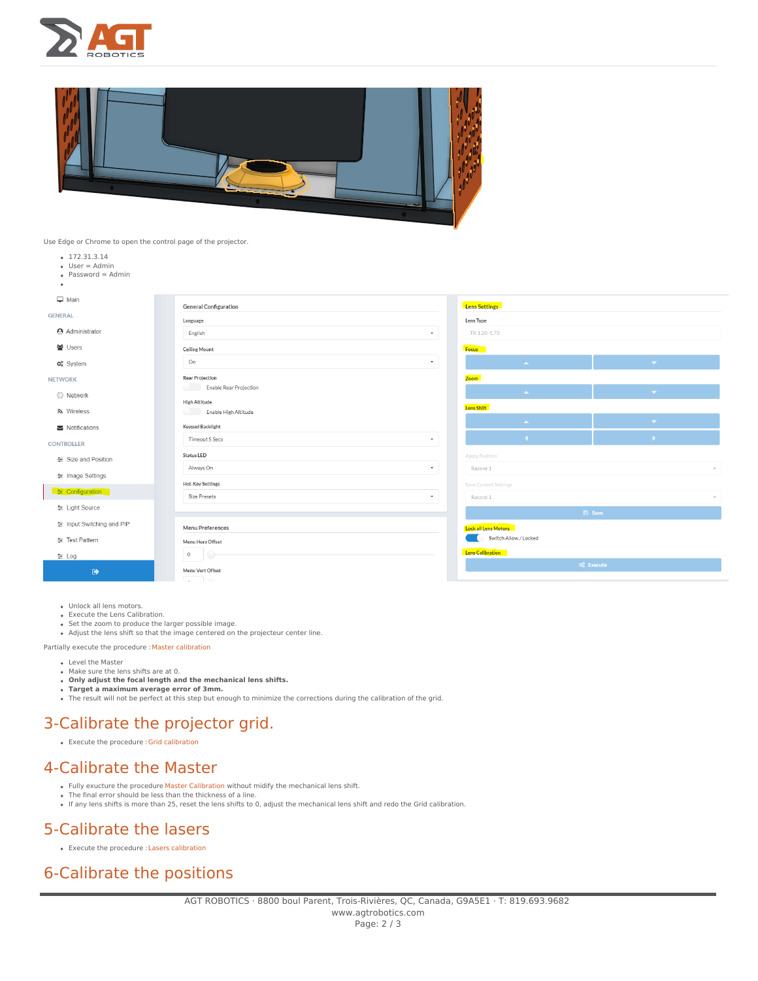



Use Edge or Chrome to open the control page of the projector.

- $177.31.314$
- $\bullet$  User = Admin
- $\bullet$  Password = Admin l,

| $\Box$ Main                               | <b>General Configuration</b>          | <b>Lens Settings</b>                                       |  |
|-------------------------------------------|---------------------------------------|------------------------------------------------------------|--|
| <b>GENERAL</b>                            | Lens Type<br>Language                 |                                                            |  |
| <b>Administrator</b>                      | English<br>$\overline{\phantom{a}}$   | TR 1.20-1.73                                               |  |
| 쌀 Users                                   | <b>Ceiling Mount</b>                  | Focus                                                      |  |
| <b>Φ</b> <sub>8</sub> <sup>8</sup> System | On<br>$\mathbf{v}$                    | $\mathcal{A}(\mathbf{r})$<br>$\mathbf{A} \in \mathbb{R}^n$ |  |
| <b>NETWORK</b>                            | Rear Projection                       | Zoom                                                       |  |
| <b>Network</b>                            | Enable Rear Projection                | $\mathcal{A}(\mathbf{r})$<br>$\Delta \sim 10$              |  |
| <b>พ</b> Wireless                         | High Altitude<br>Enable High Altitude | Lens Shift                                                 |  |
| Notifications                             | Keypad Backlight                      | $\mathbf{v}$ .<br>$\Delta \sim$                            |  |
| <b>CONTROLLER</b>                         | Timeout 5 Secs<br>$\mathbf{v}$        | $\sim$<br>$\mathbf{F}$                                     |  |
| 圭 Size and Position                       | Status LED                            | Apply Position                                             |  |
| 幸 Image Settings                          | Always On<br>$\overline{\phantom{a}}$ | Record 1<br>$\psi$                                         |  |
| $\equiv$ Configuration                    | Hot-Key Settings                      | Save Current Settings                                      |  |
| 圭 Light Source                            | Size Presets<br>$\mathbf{v}$          | Record 1<br>$\sim$                                         |  |
|                                           |                                       | <b>El</b> Save                                             |  |
| 幸 Input Switching and PIP                 | Menu Preferences                      | Lock all Lens Motors<br>Switch Allow / Locked              |  |
| 三 Test Pattern                            | Menu Horz Offset                      | Lens Calibration                                           |  |
| 幸 Log                                     | $\circ$ $\circ$                       | <b>C</b> <sub>6</sub> <sup>e</sup> Execute                 |  |
| $\bullet$                                 | Menu Vert Offset<br>ه است             |                                                            |  |

- Unlock all lens motors.
- Execute the Lens Calibration.
- Set the zoom to produce the larger possible image.
- Adjust the lens shift so that the image centered on the projecteur center line.

#### Partially execute the procedure : Master [calibration](https://prod.agt-group.com/knowsystem/702)

- Level the Master
- Make sure the lens shifts are at 0.
- **Only adjust the focal length and the mechanical lens shifts.**
- **Target a maximum average error of 3mm.** The result will not be perfect at this step but enough to minimize the corrections during the calibration of the grid.

## 3-Calibrate the projector grid.

Execute the procedure :Grid [calibration](https://prod.agt-group.com/knowsystem/705)

### 4-Calibrate the Master

- Fully exucture the procedure Master [Calibration](https://prod.agt-group.com/knowsystem/702) without midify the mechanical lens shift.
- The final error should be less than the thickness of a line.
- If any lens shifts is more than 25, reset the lens shifts to 0, adjust the mechanical lens shift and redo the Grid calibration.

### 5-Calibrate the lasers

Execute the procedure :Lasers [calibration](https://prod.agt-group.com/knowsystem/963)

## 6-Calibrate the positions